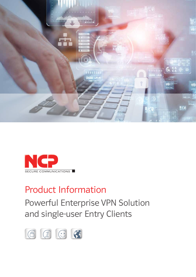



# Product Information

Powerful Enterprise VPN Solution and single-user Entry Clients

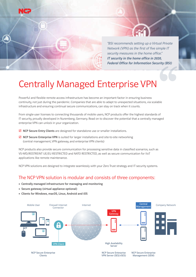

*"BSI recommends setting up a Virtual Private Network (VPN) as the first of five simple IT security measures in the home office." IT security in the home office in 2020, Federal Office for Information Security (BSI)*

## Centrally Managed Enterprise VPN

Powerful and flexible remote access infrastructure has become an important factor in ensuring business continuity, not just during the pandemic. Companies that are able to adapt to unexpected situations, via scalable infrastructure and ensuring continual secure communications, can stay on track when it counts.

From single-user licenses to connecting thousands of mobile users, NCP products offer the highest standards of IT security, proudly developed in Nuremberg, Germany. Read on to discover the potential that a centrally managed enterprise VPN can unlock in your organization.

- $\boxtimes$  NCP Secure Entry Clients are designed for standalone use or smaller installations.
- $\boxtimes$  NCP Secure Enterprise VPN is suited for larger installations and site-to-site networking (central management, VPN gateway, and enterprise VPN clients)

NCP products also provide secure communication for processing sensitive data in classified scenarios, such as VS-NfD/RESTREINT UE/EU RESTRICTED and NATO RESTRICTED, as well as secure communication for IIoT applications like remote maintenance.

NCP VPN solutions are designed to integrate seamlessly with your Zero Trust strategy and IT security systems.

### The NCP VPN solution is modular and consists of three components:

- Centrally managed infrastructure for managing and monitoring
- Secure gateway (virtual appliance optional)
- Clients for Windows, macOS, Linux, Android and iOS

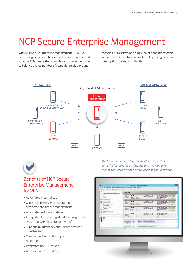### NCP Secure Enterprise Management

With NCP Secure Enterprise Management (SEM), you can manage your remote access network from a central location. This means that administrators no longer have to balance a large number of standalone solutions and

consoles. SEM serves as a single point of administration, where IT administrators can make policy changes without interrupting business continuity.



### Benefits of NCP Secure Enterprise Management for VPN

- Automated mass rollout
- **Central client/server configuration,** certificate and license management
- Automated software updates
- **Integration into existing identity management** systems (LDAP, Active Directory, etc.)
- **Supports multitenancy and service provider** infrastructure
- Comprehensive monitoring and reporting
- **Integrated RADIUS server**
- Advanced authentication

*The Secure Enterprise Management system includes powerful features for configuring and managing VPN clients and servers from a single point of administration.*

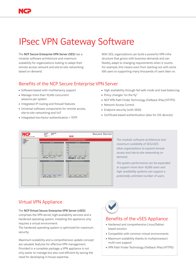# IPsec VPN Gateway Software

The NCP Secure Enterprise VPN Server (SES) has a modular software architecture and maximum scalability for organizations looking to adapt their remote access network and site-to-site networking based on demand.

With SES, organizations can build a powerful VPN infrastructure that grows with business demands and can flexibly adapt to changing requirements when it counts. For example, this means even from starting out with some 500 users to supporting many thousands of users later on.

#### Benefits of the NCP Secure Enterprise VPN Server

- Software-based with multitenancy support
- Manage more than 10,000 concurrent sessions per system
- **Integrated IP routing and firewall features**
- Universal software components for remote access, site-to-site networking and IIoT
- Integrated two-factor authentication + TOTP
- High availability through fail-safe mode and load balancing
- Policy changes "on the fly"
- NCP VPN Path Finder Technology (Fallback IPsec/HTTPS)
- Network Access Control
- **Endpoint security (with SEM)**
- Certificate-based authentication (also for iOS devices)



*The modular software architecture and maximum scalability of SES/vSES allow organizations to expand remote access and site-to-site networking on demand.* 

*The system performance can be expanded to support more than 10,000 users and high availability systems can support a potentially unlimited number of users.*

### Virtual VPN Appliance

#### The NCP Virtual Secure Enterprise VPN Server (vSES)

comprises the VPN server, high-availability services and a hardened operating system. Installing the appliance only requires a virtual environment.

The hardened operating system is optimized for maximum security.

Maximum scalability and a comprehensive update concept are valuable features for effective VPN management. Provided in a complete package, a VPN appliance is not only easier to manage but also cost-efficient by saving the need for developing in-house expertise.



#### Benefits of the vSES Appliance

- Hardened and comprehensive Linux/Debian based solution
- **Compatible with common virtual environments**
- Maximum scalability thanks to multiprocessor/ multi-core support
- VPN Path Finder Technology (Fallback IPsec/HTTPS)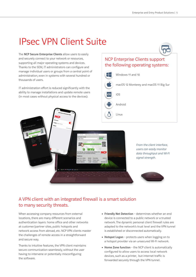### IPsec VPN Client Suite

The NCP Secure Enterprise Clients allow users to easily and securely connect to your network or resources, supporting all major operating systems and devices. Thanks to the SEM, IT administrators can configure and manage individual users or groups from a central point of administration, even in systems with several hundred or thousands of users.

IT administration effort is reduced significantly with the ability to manage installations and update remote users (in most cases without physical access to the devices).

#### NCP Enterprise Clients support the following operating systems:





### A VPN client with an integrated firewall is a smart solution to many security threats.

When accessing company resources from external locations, there are many different scenarios and authentication layers: home office and other networks at customer/partner sites, public hotspots and network access from abroad, etc. NCP VPN clients master the challenges of remote access in a straightforward and secure way.

Thanks to intuitive features, the VPN client maintains secure communication seamlessly, without the user having to intervene or potentially misconfiguring the software.

- Friendly Net Detection determines whether an end device is connected to a public network or a trusted network. The dynamic personal client firewall rules are adapted to the network's trust level and the VPN tunnel is established or disconnected automatically.
- Hotspot Logon protects users when logging on to a hotspot provider via an unsecured Wi-Fi network.
- **Home Zone function** the NCP client is automatically configured to allow users to access local network devices, such as a printer, but internet traffic is forwarded securely through the VPN tunnel.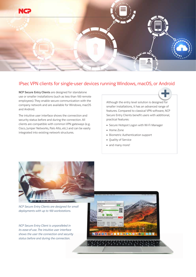

#### IPsec VPN clients for single-user devices running Windows, macOS, or Android

NCP Secure Entry Clients are designed for standalone use or smaller installations (such as less than 100 remote employees). They enable secure communication with the company network and are available for Windows, macOS and Android.

The intuitive user interface shows the connection and security status before and during the connection. All clients are compatible with common VPN gateways (e.g. Cisco, Juniper Networks, Palo Alto, etc.) and can be easily integrated into existing network structures.

Although the entry level solution is designed for smaller installations, it has an advanced range of features. Compared to classical VPN software, NCP Secure Entry Clients benefit users with additional, practical features:

- Secure Hotspot Logon with Wi-Fi Manager
- **Home Zone**
- **Biometric Authentication support**
- **Quality of Service**
- $\blacksquare$  and many more!

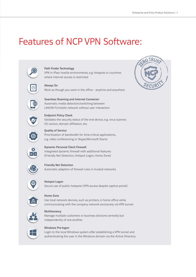## Features of NCP VPN Software:







communicating with the company network exclusively via VPN tunnel.





#### Windows Pre-logon

Login to the local Windows system *after* establishing a VPN tunnel and authenticating the user in the Windows domain via the Active Directory